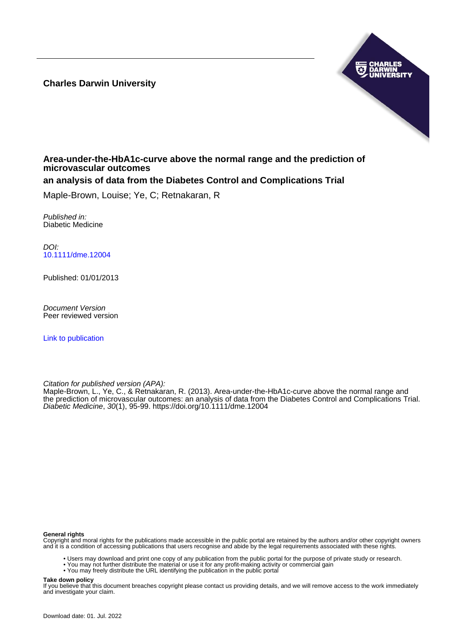**Charles Darwin University**



# **Area-under-the-HbA1c-curve above the normal range and the prediction of microvascular outcomes**

# **an analysis of data from the Diabetes Control and Complications Trial**

Maple-Brown, Louise; Ye, C; Retnakaran, R

Published in: Diabetic Medicine

DOI: [10.1111/dme.12004](https://doi.org/10.1111/dme.12004)

Published: 01/01/2013

Document Version Peer reviewed version

[Link to publication](https://researchers.cdu.edu.au/en/publications/990353a9-fbca-4489-9e5a-6c42897412c3)

Citation for published version (APA):

Maple-Brown, L., Ye, C., & Retnakaran, R. (2013). Area-under-the-HbA1c-curve above the normal range and the prediction of microvascular outcomes: an analysis of data from the Diabetes Control and Complications Trial. Diabetic Medicine, 30(1), 95-99. <https://doi.org/10.1111/dme.12004>

#### **General rights**

Copyright and moral rights for the publications made accessible in the public portal are retained by the authors and/or other copyright owners and it is a condition of accessing publications that users recognise and abide by the legal requirements associated with these rights.

- Users may download and print one copy of any publication from the public portal for the purpose of private study or research.
- You may not further distribute the material or use it for any profit-making activity or commercial gain
- You may freely distribute the URL identifying the publication in the public portal

#### **Take down policy**

If you believe that this document breaches copyright please contact us providing details, and we will remove access to the work immediately and investigate your claim.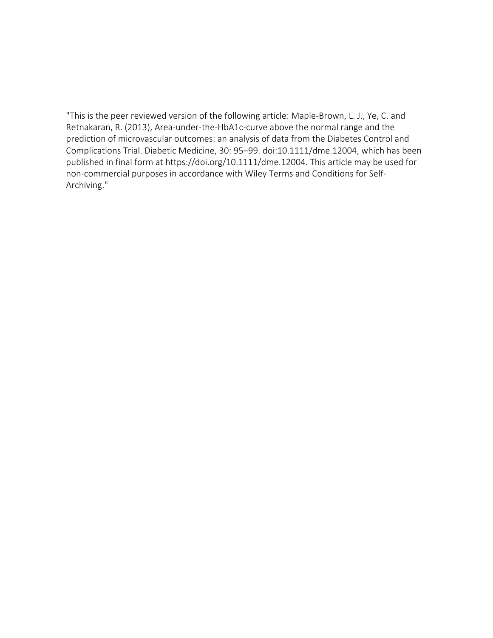"This is the peer reviewed version of the following article: Maple-Brown, L. J., Ye, C. and Retnakaran, R. (2013), Area-under-the-HbA1c-curve above the normal range and the prediction of microvascular outcomes: an analysis of data from the Diabetes Control and Complications Trial. Diabetic Medicine, 30: 95–99. doi:10.1111/dme.12004, which has been published in final form at https://doi.org/10.1111/dme.12004. This article may be used for non-commercial purposes in accordance with Wiley Terms and Conditions for Self-Archiving."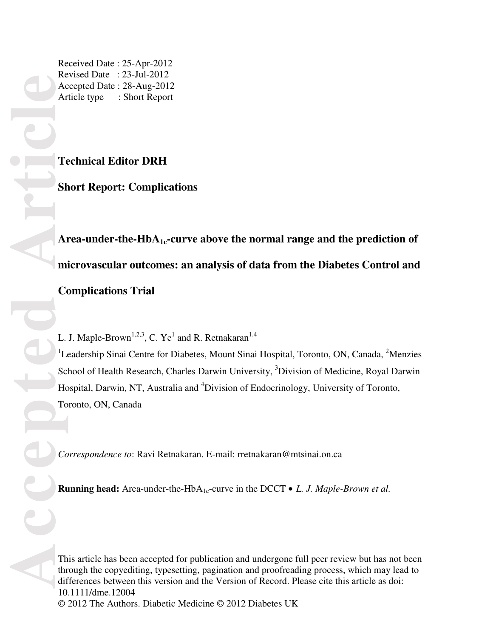Received Date : 25-Apr-2012 Revised Date : 23-Jul-2012 Accepted Date : 28-Aug-2012 Article type : Short Report

# **Technical Editor DRH**

**Short Report: Complications** 

Area-under-the-HbA<sub>1c</sub>-curve above the normal range and the prediction of **microvascular outcomes: an analysis of data from the Diabetes Control and Complications Trial** 

L. J. Maple-Brown<sup>1,2,3</sup>, C. Ye<sup>1</sup> and R. Retnakaran<sup>1,4</sup>

<sup>1</sup>Leadership Sinai Centre for Diabetes, Mount Sinai Hospital, Toronto, ON, Canada, <sup>2</sup>Menzies School of Health Research, Charles Darwin University, <sup>3</sup>Division of Medicine, Royal Darwin Hospital, Darwin, NT, Australia and <sup>4</sup>Division of Endocrinology, University of Toronto, Toronto, ON, Canada

*Correspondence to*: Ravi Retnakaran. E-mail: rretnakaran@mtsinai.on.ca

**Running head:** Area-under-the-HbA<sub>1c</sub>-curve in the DCCT • *L. J. Maple-Brown et al.* 

This article has been accepted for publication and undergone full peer review but has not been through the copyediting, typesetting, pagination and proofreading process, which may lead to differences between this version and the Version of Record. Please cite this article as doi: 10.1111/dme.12004 © 2012 The Authors. Diabetic Medicine © 2012 Diabetes UK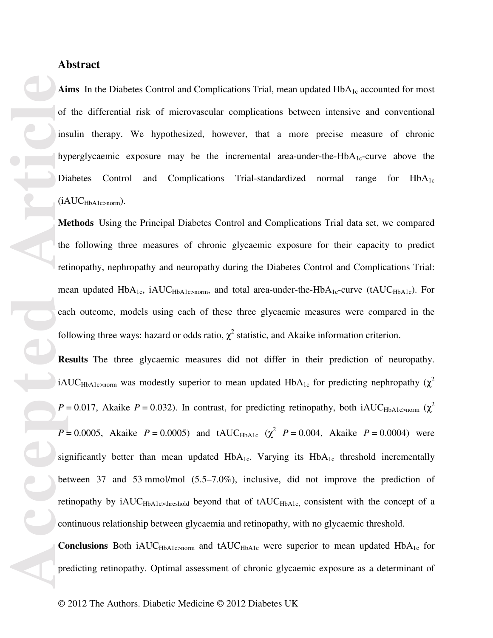## **Abstract**

Aims In the Diabetes Control and Complications Trial, mean updated HbA<sub>1c</sub> accounted for most of the differential risk of microvascular complications between intensive and conventional insulin therapy. We hypothesized, however, that a more precise measure of chronic hyperglycaemic exposure may be the incremental area-under-the-Hb $A_{1c}$ -curve above the Diabetes Control and Complications Trial-standardized normal range for  $HbA_{1c}$  $(iAUC<sub>HbA1c>norm</sub>).$ 

**Methods** Using the Principal Diabetes Control and Complications Trial data set, we compared the following three measures of chronic glycaemic exposure for their capacity to predict retinopathy, nephropathy and neuropathy during the Diabetes Control and Complications Trial: mean updated HbA<sub>1c</sub>, iAUC<sub>HbA1c>norm</sub>, and total area-under-the-HbA<sub>1c</sub>-curve (tAUC<sub>HbA1c</sub>). For each outcome, models using each of these three glycaemic measures were compared in the following three ways: hazard or odds ratio,  $\chi^2$  statistic, and Akaike information criterion.

**Results** The three glycaemic measures did not differ in their prediction of neuropathy. iAUC<sub>HbA1c>norm</sub> was modestly superior to mean updated HbA<sub>1c</sub> for predicting nephropathy ( $\chi^2$ )  $P = 0.017$ , Akaike  $P = 0.032$ ). In contrast, for predicting retinopathy, both iAUC<sub>HbA1c>norm</sub> ( $\chi^2$ *P* = 0.0005, Akaike *P* = 0.0005) and tAUC<sub>HbA1c</sub> ( $\chi^2$  *P* = 0.004, Akaike *P* = 0.0004) were significantly better than mean updated  $HbA_{1c}$ . Varying its  $HbA_{1c}$  threshold incrementally between 37 and 53 mmol/mol (5.5–7.0%), inclusive, did not improve the prediction of retinopathy by  $iAUC<sub>HbA1c>threshold}</sub>$  beyond that of  $tAUC<sub>HbA1c</sub>$ , consistent with the concept of a continuous relationship between glycaemia and retinopathy, with no glycaemic threshold.

Conclusions Both iAUC<sub>HbA1c</sub>>norm and tAUC<sub>HbA1c</sub> were superior to mean updated HbA<sub>1c</sub> for predicting retinopathy. Optimal assessment of chronic glycaemic exposure as a determinant of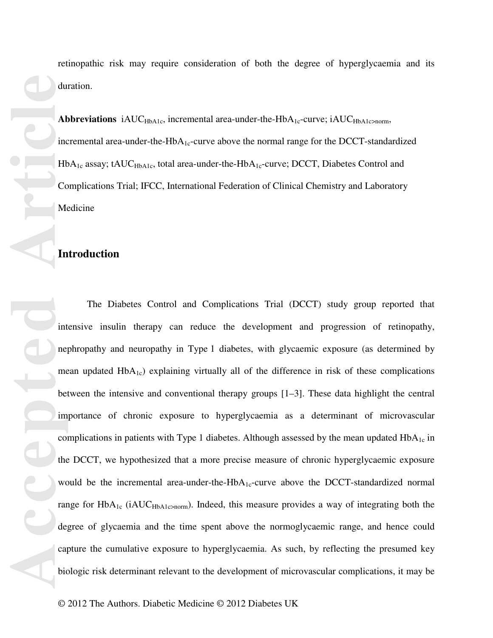incremental area-under-the-Hb $A_{1c}$ -curve above the normal range for the DCCT-standardized  $HbA_{1c}$  assay; tAUC<sub>HbA1c</sub>, total area-under-the-HbA<sub>1c</sub>-curve; DCCT, Diabetes Control and Complications Trial; IFCC, International Federation of Clinical Chemistry and Laboratory Medicine

# **Introduction**

**Accepted Article** The Diabetes Control and Complications Trial (DCCT) study group reported that intensive insulin therapy can reduce the development and progression of retinopathy, nephropathy and neuropathy in Type 1 diabetes, with glycaemic exposure (as determined by mean updated  $HbA_{1c}$ ) explaining virtually all of the difference in risk of these complications between the intensive and conventional therapy groups [1–3]. These data highlight the central importance of chronic exposure to hyperglycaemia as a determinant of microvascular complications in patients with Type 1 diabetes. Although assessed by the mean updated  $HbA_{1c}$  in the DCCT, we hypothesized that a more precise measure of chronic hyperglycaemic exposure would be the incremental area-under-the-Hb $A_{1c}$ -curve above the DCCT-standardized normal range for  $HbA_{1c}$  (iAUC<sub>HbA1c>norm</sub>). Indeed, this measure provides a way of integrating both the degree of glycaemia and the time spent above the normoglycaemic range, and hence could capture the cumulative exposure to hyperglycaemia. As such, by reflecting the presumed key biologic risk determinant relevant to the development of microvascular complications, it may be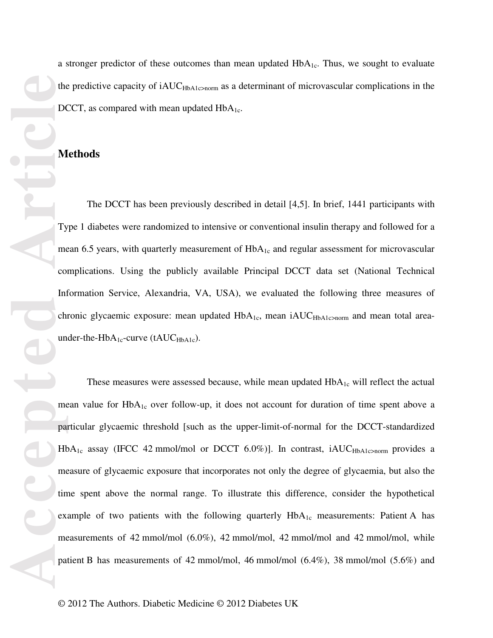a stronger predictor of these outcomes than mean updated  $HbA_{1c}$ . Thus, we sought to evaluate the predictive capacity of  $iAUC<sub>HbA1c>norm</sub>$ </sub> as a determinant of microvascular complications in the DCCT, as compared with mean updated  $HbA<sub>1c</sub>$ .

### **Methods**

The DCCT has been previously described in detail [4,5]. In brief, 1441 participants with Type 1 diabetes were randomized to intensive or conventional insulin therapy and followed for a mean 6.5 years, with quarterly measurement of  $HbA<sub>1c</sub>$  and regular assessment for microvascular complications. Using the publicly available Principal DCCT data set (National Technical Information Service, Alexandria, VA, USA), we evaluated the following three measures of chronic glycaemic exposure: mean updated HbA<sub>1c</sub>, mean iAUC<sub>HbA1c>norm</sub> and mean total areaunder-the-Hb $A_{1c}$ -curve (tAUC $_{HbA1c}$ ).

These measures were assessed because, while mean updated  $HbA_{1c}$  will reflect the actual mean value for  $HbA_{1c}$  over follow-up, it does not account for duration of time spent above a particular glycaemic threshold [such as the upper-limit-of-normal for the DCCT-standardized  $HbA_{1c}$  assay (IFCC 42 mmol/mol or DCCT 6.0%)]. In contrast, iAUC<sub>HbA1c>norm</sub> provides a measure of glycaemic exposure that incorporates not only the degree of glycaemia, but also the time spent above the normal range. To illustrate this difference, consider the hypothetical example of two patients with the following quarterly  $HbA_{1c}$  measurements: Patient A has measurements of 42 mmol/mol (6.0%), 42 mmol/mol, 42 mmol/mol and 42 mmol/mol, while patient B has measurements of 42 mmol/mol, 46 mmol/mol (6.4%), 38 mmol/mol (5.6%) and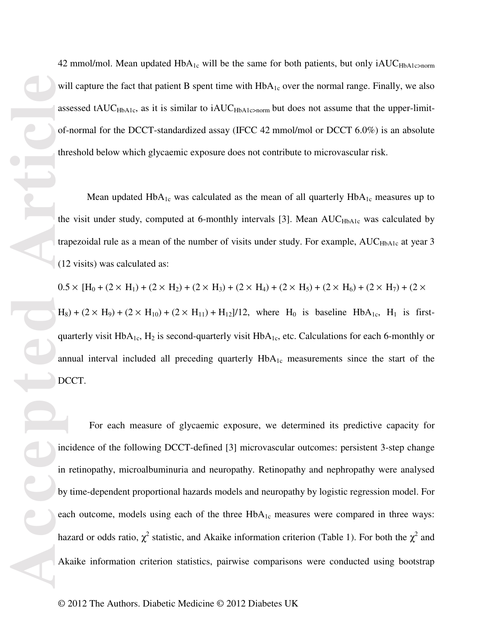42 mmol/mol. Mean updated  $HbA_{1c}$  will be the same for both patients, but only  $iAUC_{HbA1c>norm}$ will capture the fact that patient B spent time with  $HbA_{1c}$  over the normal range. Finally, we also assessed tAUC<sub>HbA1c</sub>, as it is similar to iAUC<sub>HbA1c</sub>>norm but does not assume that the upper-limitof-normal for the DCCT-standardized assay (IFCC 42 mmol/mol or DCCT 6.0%) is an absolute threshold below which glycaemic exposure does not contribute to microvascular risk.

Mean updated  $HbA_{1c}$  was calculated as the mean of all quarterly  $HbA_{1c}$  measures up to the visit under study, computed at 6-monthly intervals [3]. Mean AUC<sub>HbA1c</sub> was calculated by trapezoidal rule as a mean of the number of visits under study. For example, AUC<sub>HbA1c</sub> at year 3 (12 visits) was calculated as:

 $0.5 \times [H_0 + (2 \times H_1) + (2 \times H_2) + (2 \times H_3) + (2 \times H_4) + (2 \times H_5) + (2 \times H_6) + (2 \times H_7) + (2 \times H_9)$  $H_8$  + (2 × H<sub>9</sub>) + (2 × H<sub>10</sub>) + (2 × H<sub>11</sub>) + H<sub>12</sub>]/12, where H<sub>0</sub> is baseline HbA<sub>1c</sub>, H<sub>1</sub> is firstquarterly visit  $HbA_{1c}$ ,  $H_2$  is second-quarterly visit  $HbA_{1c}$ , etc. Calculations for each 6-monthly or annual interval included all preceding quarterly  $HbA_{1c}$  measurements since the start of the DCCT.

 For each measure of glycaemic exposure, we determined its predictive capacity for incidence of the following DCCT-defined [3] microvascular outcomes: persistent 3-step change in retinopathy, microalbuminuria and neuropathy. Retinopathy and nephropathy were analysed by time-dependent proportional hazards models and neuropathy by logistic regression model. For each outcome, models using each of the three  $HbA_{1c}$  measures were compared in three ways: hazard or odds ratio,  $\chi^2$  statistic, and Akaike information criterion (Table 1). For both the  $\chi^2$  and Akaike information criterion statistics, pairwise comparisons were conducted using bootstrap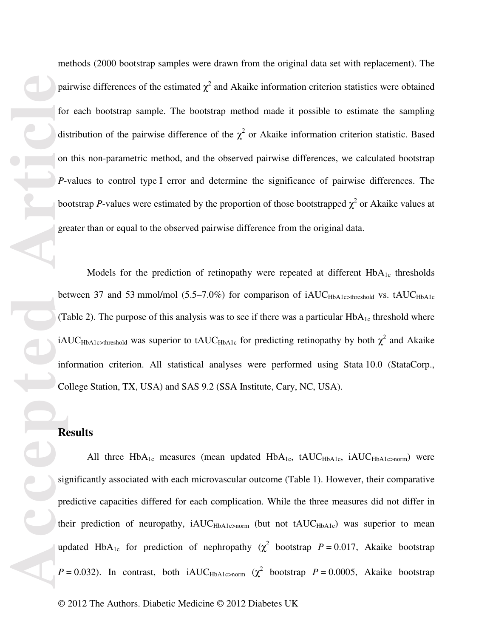pai<br>
for<br>
dis<br>
on<br> *P*<sub>-</sub><br>
bo gre<br>
pre<br>
dis<br>
on<br> *P*-<br>
bo gre<br>
(T<sub>i</sub> iA<br>
inf<br>
Co<br>
sig<br>
pre<br>
the up<br>
P<br>
P<br>  $\frac{1}{2}$ methods (2000 bootstrap samples were drawn from the original data set with replacement). The pairwise differences of the estimated  $\chi^2$  and Akaike information criterion statistics were obtained for each bootstrap sample. The bootstrap method made it possible to estimate the sampling distribution of the pairwise difference of the  $\chi^2$  or Akaike information criterion statistic. Based on this non-parametric method, and the observed pairwise differences, we calculated bootstrap *P*-values to control type I error and determine the significance of pairwise differences. The bootstrap *P*-values were estimated by the proportion of those bootstrapped  $\chi^2$  or Akaike values at greater than or equal to the observed pairwise difference from the original data.

Models for the prediction of retinopathy were repeated at different  $HbA_{1c}$  thresholds between 37 and 53 mmol/mol (5.5–7.0%) for comparison of iAUC<sub>HbA1c>threshold</sub> vs. tAUC<sub>HbA1c</sub> (Table 2). The purpose of this analysis was to see if there was a particular  $HbA_{1c}$  threshold where iAUC<sub>HbA1c>threshold</sub> was superior to tAUC<sub>HbA1c</sub> for predicting retinopathy by both  $\chi^2$  and Akaike information criterion. All statistical analyses were performed using Stata 10.0 (StataCorp., College Station, TX, USA) and SAS 9.2 (SSA Institute, Cary, NC, USA).

### **Results**

All three  $HbA_{1c}$  measures (mean updated  $HbA_{1c}$ , tAUC<sub>HbA1c</sub>, iAUC<sub>HbA1c>norm</sub>) were significantly associated with each microvascular outcome (Table 1). However, their comparative predictive capacities differed for each complication. While the three measures did not differ in their prediction of neuropathy, iAUC<sub>HbA1c>norm</sub> (but not tAUC<sub>HbA1c</sub>) was superior to mean updated HbA<sub>1c</sub> for prediction of nephropathy ( $\chi^2$  bootstrap *P* = 0.017, Akaike bootstrap  $P = 0.032$ ). In contrast, both iAUC<sub>HbA1c>norm</sub> ( $\chi^2$  bootstrap  $P = 0.0005$ , Akaike bootstrap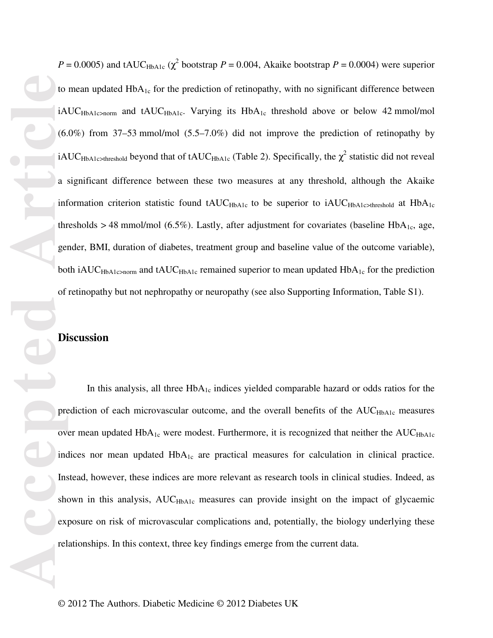**Accepted Accepted Article**<br> **Accepted Accepted Article**<br> **Accepted Articles**<br> **Articles**<br> **Articles**<br> **Articles**<br> **Articles**<br> **Articles**<br> **Articles**<br> **Articles**<br> **Articles**<br> **Articles**<br> **Articles**<br> **Articles**<br>

 $P = 0.0005$ ) and tAUC<sub>HbA1c</sub> ( $\chi^2$  bootstrap  $P = 0.004$ , Akaike bootstrap  $P = 0.0004$ ) were superior to mean updated HbA<sub>1c</sub> for the prediction of retinopathy, with no significant difference between iAUC<sub>HbA1c>norm</sub> and tAUC<sub>HbA1c</sub>. Varying its HbA<sub>1c</sub> threshold above or below 42 mmol/mol (6.0%) from 37–53 mmol/mol (5.5–7.0%) did not improve the prediction of retinopathy by iAUC<sub>HbA1c>threshold</sub> beyond that of tAUC<sub>HbA1c</sub> (Table 2). Specifically, the  $\chi^2$  statistic did not reveal a significant difference between these two measures at any threshold, although the Akaike information criterion statistic found  $\text{tAUC}_{\text{HbA1c}}$  to be superior to  $\text{iAUC}_{\text{HbA1c} \rightarrow \text{threshold}}$  at  $\text{HbA}_{1c}$ thresholds > 48 mmol/mol (6.5%). Lastly, after adjustment for covariates (baseline HbA<sub>1c</sub>, age, gender, BMI, duration of diabetes, treatment group and baseline value of the outcome variable), both iAUC<sub>HbA1c</sub>>norm and tAUC<sub>HbA1c</sub> remained superior to mean updated  $HbA_{1c}$  for the prediction of retinopathy but not nephropathy or neuropathy (see also Supporting Information, Table S1).

# **Discussion**

In this analysis, all three  $HbA_{1c}$  indices yielded comparable hazard or odds ratios for the prediction of each microvascular outcome, and the overall benefits of the AUC<sub>HbA1c</sub> measures over mean updated  $HbA_{1c}$  were modest. Furthermore, it is recognized that neither the  $AUC<sub>HbA1c</sub>$ indices nor mean updated  $HbA_{1c}$  are practical measures for calculation in clinical practice. Instead, however, these indices are more relevant as research tools in clinical studies. Indeed, as shown in this analysis, AUC<sub>HbA1c</sub> measures can provide insight on the impact of glycaemic exposure on risk of microvascular complications and, potentially, the biology underlying these relationships. In this context, three key findings emerge from the current data.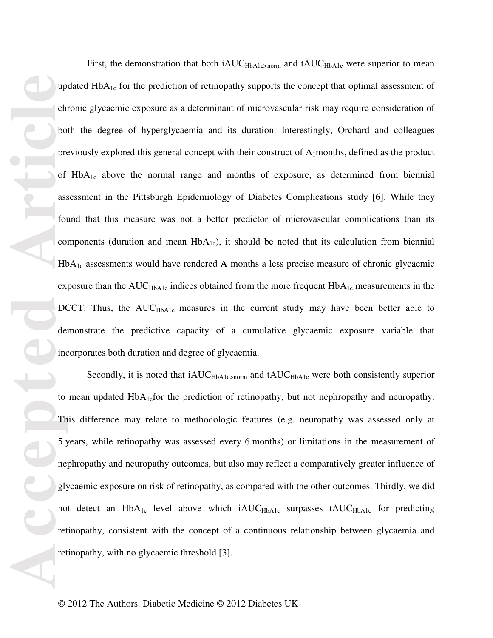Machine Contract Contract Contract Contract Contract Contract Contract Contract Contract Contract Contract Contract Contract Contract Contract Contract Contract Contract Contract Contract Contract Contract Contract Contrac First, the demonstration that both iAUC<sub>HbA1c</sub>>norm and tAUC<sub>HbA1c</sub> were superior to mean updated  $HbA_{1c}$  for the prediction of retinopathy supports the concept that optimal assessment of chronic glycaemic exposure as a determinant of microvascular risk may require consideration of both the degree of hyperglycaemia and its duration. Interestingly, Orchard and colleagues previously explored this general concept with their construct of  $A_1$ months, defined as the product of HbA1c above the normal range and months of exposure, as determined from biennial assessment in the Pittsburgh Epidemiology of Diabetes Complications study [6]. While they found that this measure was not a better predictor of microvascular complications than its components (duration and mean  $HbA_{1c}$ ), it should be noted that its calculation from biennial  $HbA_{1c}$  assessments would have rendered  $A_1$ months a less precise measure of chronic glycaemic exposure than the  $AUC<sub>HbA1c</sub>$  indices obtained from the more frequent  $HbA<sub>1c</sub>$  measurements in the DCCT. Thus, the  $AUC<sub>HbA1c</sub>$  measures in the current study may have been better able to demonstrate the predictive capacity of a cumulative glycaemic exposure variable that incorporates both duration and degree of glycaemia.

Secondly, it is noted that iAUC<sub>HbA1c</sub>>norm and tAUC<sub>HbA1c</sub> were both consistently superior to mean updated  $HbA<sub>1c</sub>$  for the prediction of retinopathy, but not nephropathy and neuropathy. This difference may relate to methodologic features (e.g. neuropathy was assessed only at 5 years, while retinopathy was assessed every 6 months) or limitations in the measurement of nephropathy and neuropathy outcomes, but also may reflect a comparatively greater influence of glycaemic exposure on risk of retinopathy, as compared with the other outcomes. Thirdly, we did not detect an HbA<sub>1c</sub> level above which iAUC<sub>HbA1c</sub> surpasses tAUC<sub>HbA1c</sub> for predicting retinopathy, consistent with the concept of a continuous relationship between glycaemia and retinopathy, with no glycaemic threshold [3].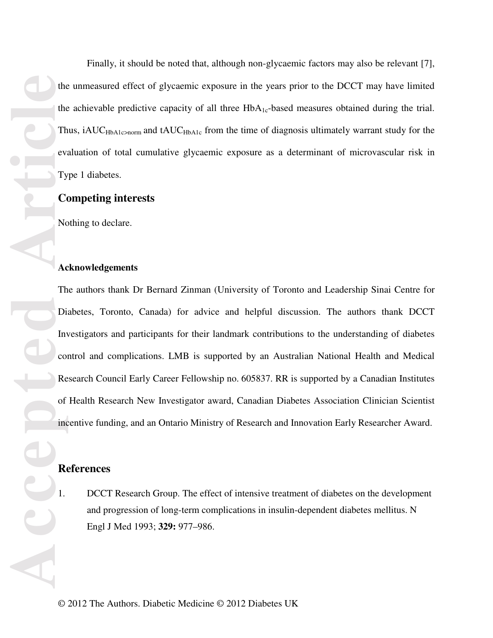Finally, it should be noted that, although non-glycaemic factors may also be relevant [7], the unmeasured effect of glycaemic exposure in the years prior to the DCCT may have limited the achievable predictive capacity of all three  $HbA_{1c}$ -based measures obtained during the trial. Thus, iAUC<sub>HbA1c</sub>>norm and tAUC<sub>HbA1c</sub> from the time of diagnosis ultimately warrant study for the evaluation of total cumulative glycaemic exposure as a determinant of microvascular risk in Type 1 diabetes.

# **Competing interests**

Nothing to declare.

### **Acknowledgements**

The authors thank Dr Bernard Zinman (University of Toronto and Leadership Sinai Centre for Diabetes, Toronto, Canada) for advice and helpful discussion. The authors thank DCCT Investigators and participants for their landmark contributions to the understanding of diabetes control and complications. LMB is supported by an Australian National Health and Medical Research Council Early Career Fellowship no. 605837. RR is supported by a Canadian Institutes of Health Research New Investigator award, Canadian Diabetes Association Clinician Scientist incentive funding, and an Ontario Ministry of Research and Innovation Early Researcher Award.

## **References**

1. DCCT Research Group. The effect of intensive treatment of diabetes on the development and progression of long-term complications in insulin-dependent diabetes mellitus. N Engl J Med 1993; **329:** 977–986.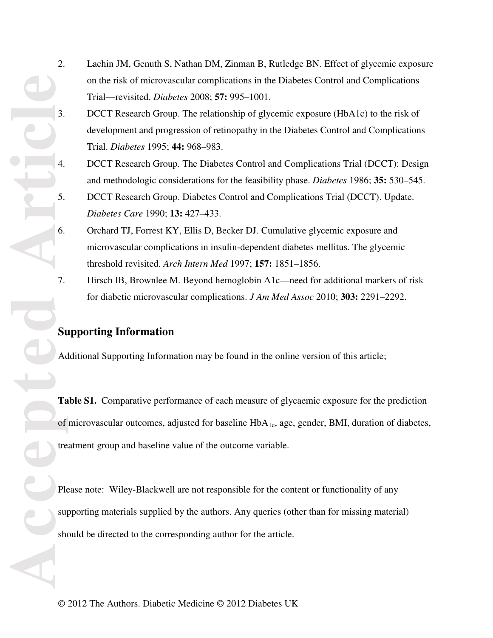- 2. Lachin JM, Genuth S, Nathan DM, Zinman B, Rutledge BN. Effect of glycemic exposure on the risk of microvascular complications in the Diabetes Control and Complications Trial—revisited. *Diabetes* 2008; **57:** 995–1001.
- 3. DCCT Research Group. The relationship of glycemic exposure (HbA1c) to the risk of development and progression of retinopathy in the Diabetes Control and Complications Trial. *Diabetes* 1995; **44:** 968–983.
- 4. DCCT Research Group. The Diabetes Control and Complications Trial (DCCT): Design and methodologic considerations for the feasibility phase. *Diabetes* 1986; **35:** 530–545.
- 5. DCCT Research Group. Diabetes Control and Complications Trial (DCCT). Update. *Diabetes Care* 1990; **13:** 427–433.
- 6. Orchard TJ, Forrest KY, Ellis D, Becker DJ. Cumulative glycemic exposure and microvascular complications in insulin-dependent diabetes mellitus. The glycemic threshold revisited. *Arch Intern Med* 1997; **157:** 1851–1856.
- 7. Hirsch IB, Brownlee M. Beyond hemoglobin A1c—need for additional markers of risk for diabetic microvascular complications. *J Am Med Assoc* 2010; **303:** 2291–2292.

# **Supporting Information**

Additional Supporting Information may be found in the online version of this article;

**Table S1.** Comparative performance of each measure of glycaemic exposure for the prediction of microvascular outcomes, adjusted for baseline HbA1c, age, gender, BMI, duration of diabetes, treatment group and baseline value of the outcome variable.

**Accepted Accepted Article Accepted Accepted Accepted Accepted Accepted Accepted Accepted Accepted Accepted Accepted Accepted Accepted Accepted Accepted Accepted Accepted Accepted Ac** Please note: Wiley-Blackwell are not responsible for the content or functionality of any supporting materials supplied by the authors. Any queries (other than for missing material) should be directed to the corresponding author for the article.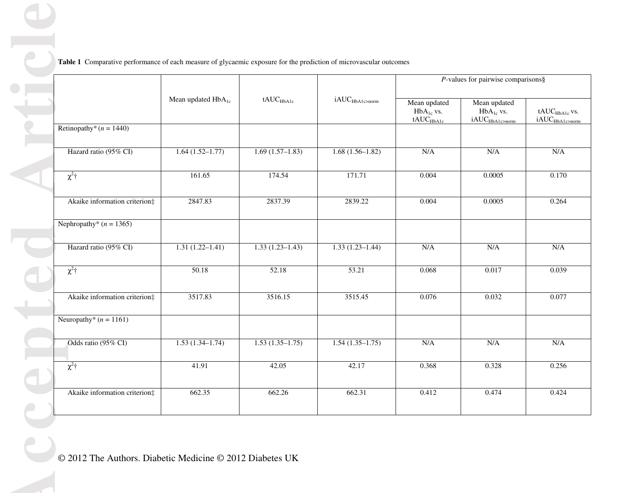|                                         |                                | tAUC <sub>HbA1c</sub> |                             | $P$ -values for pairwise comparisons §                  |                                                               |                                                                 |
|-----------------------------------------|--------------------------------|-----------------------|-----------------------------|---------------------------------------------------------|---------------------------------------------------------------|-----------------------------------------------------------------|
|                                         | Mean updated HbA <sub>1c</sub> |                       | iAUC <sub>HbA1c</sub> >norm | Mean updated<br>$HbA_{1c}$ vs.<br>tAUC <sub>HbA1c</sub> | Mean updated<br>$HbA_{1c}$ vs.<br>iAUC <sub>HbA1c</sub> >norm | $\text{tAUC}_{\text{HbA1c}}$ vs.<br>iAUC <sub>HbA1c</sub> >norm |
| Retinopathy <sup>*</sup> ( $n = 1440$ ) |                                |                       |                             |                                                         |                                                               |                                                                 |
| Hazard ratio (95% CI)                   | $1.64(1.52-1.77)$              | $1.69(1.57-1.83)$     | $1.68(1.56-1.82)$           | N/A                                                     | N/A                                                           | N/A                                                             |
| $\chi^2$ <sup>+</sup>                   | 161.65                         | 174.54                | 171.71                      | 0.004                                                   | 0.0005                                                        | 0.170                                                           |
| Akaike information criterion#           | 2847.83                        | 2837.39               | 2839.22                     | 0.004                                                   | 0.0005                                                        | 0.264                                                           |
| Nephropathy* $(n = 1365)$               |                                |                       |                             |                                                         |                                                               |                                                                 |
| Hazard ratio (95% CI)                   | $1.31(1.22 - 1.41)$            | $1.33(1.23 - 1.43)$   | $1.33(1.23 - 1.44)$         | $\rm N/A$                                               | N/A                                                           | N/A                                                             |
| $\chi^2$ †                              | 50.18                          | 52.18                 | 53.21                       | 0.068                                                   | 0.017                                                         | 0.039                                                           |
| Akaike information criterion#           | 3517.83                        | 3516.15               | 3515.45                     | 0.076                                                   | 0.032                                                         | 0.077                                                           |
| Neuropathy* $(n = 1161)$                |                                |                       |                             |                                                         |                                                               |                                                                 |
| Odds ratio (95% CI)                     | $1.53(1.34-1.74)$              | $1.53(1.35-1.75)$     | $1.54(1.35-1.75)$           | $\rm N/A$                                               | N/A                                                           | N/A                                                             |
| $\chi^2$ †                              | 41.91                          | 42.05                 | 42.17                       | 0.368                                                   | 0.328                                                         | 0.256                                                           |
| Akaike information criterion:           | 662.35                         | 662.26                | 662.31                      | 0.412                                                   | 0.474                                                         | 0.424                                                           |
|                                         |                                |                       |                             |                                                         |                                                               |                                                                 |